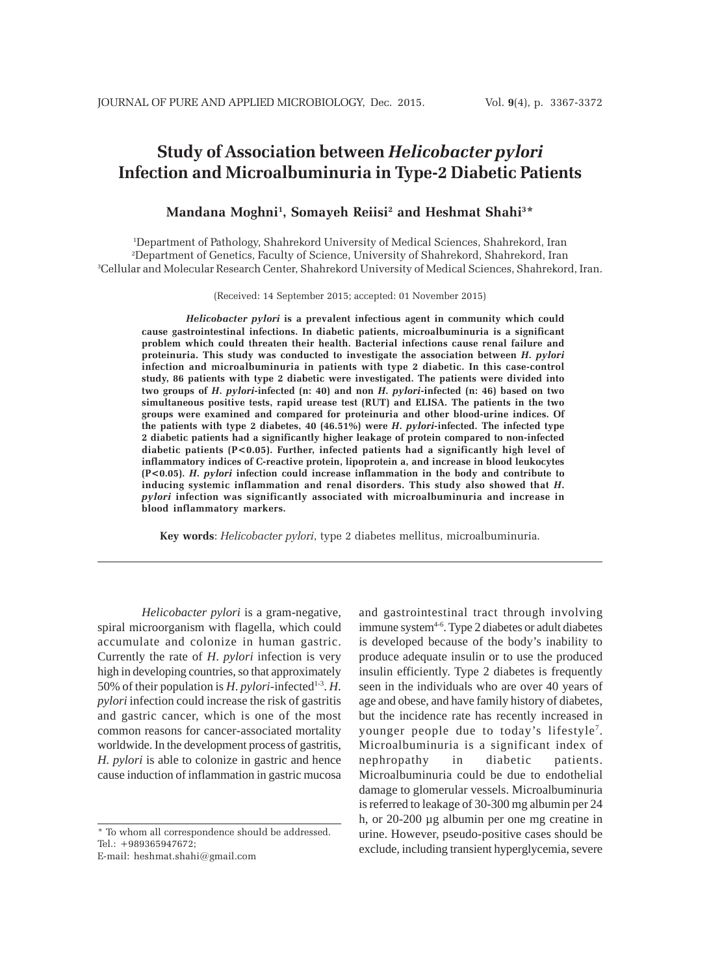# **Study of Association between** *Helicobacter pylori* **Infection and Microalbuminuria in Type-2 Diabetic Patients**

## **Mandana Moghni1 , Somayeh Reiisi2 and Heshmat Shahi3 \***

1 Department of Pathology, Shahrekord University of Medical Sciences, Shahrekord, Iran 2 Department of Genetics, Faculty of Science, University of Shahrekord, Shahrekord, Iran 3 Cellular and Molecular Research Center, Shahrekord University of Medical Sciences, Shahrekord, Iran.

(Received: 14 September 2015; accepted: 01 November 2015)

*Helicobacter pylori* **is a prevalent infectious agent in community which could cause gastrointestinal infections. In diabetic patients, microalbuminuria is a significant problem which could threaten their health. Bacterial infections cause renal failure and proteinuria. This study was conducted to investigate the association between** *H***.** *pylori* **infection and microalbuminuria in patients with type 2 diabetic. In this case-control study, 86 patients with type 2 diabetic were investigated. The patients were divided into two groups of** *H***.** *pylori***-infected (n: 40) and non** *H***.** *pylori***-infected (n: 46) based on two simultaneous positive tests, rapid urease test (RUT) and ELISA. The patients in the two groups were examined and compared for proteinuria and other blood-urine indices. Of the patients with type 2 diabetes, 40 (46.51%) were** *H***.** *pylori***-infected. The infected type 2 diabetic patients had a significantly higher leakage of protein compared to non-infected diabetic patients (P<0.05). Further, infected patients had a significantly high level of inflammatory indices of C-reactive protein, lipoprotein a, and increase in blood leukocytes (P<0.05).** *H***.** *pylori* **infection could increase inflammation in the body and contribute to inducing systemic inflammation and renal disorders. This study also showed that** *H***.** *pylori* **infection was significantly associated with microalbuminuria and increase in blood inflammatory markers.**

**Key words**: *Helicobacter pylori*, type 2 diabetes mellitus, microalbuminuria.

*Helicobacter pylori* is a gram-negative, spiral microorganism with flagella, which could accumulate and colonize in human gastric. Currently the rate of *H*. *pylori* infection is very high in developing countries, so that approximately 50% of their population is *H*. *pylori*-infected<sup>1-3</sup>. *H*. *pylori* infection could increase the risk of gastritis and gastric cancer, which is one of the most common reasons for cancer-associated mortality worldwide. In the development process of gastritis, *H. pylori* is able to colonize in gastric and hence cause induction of inflammation in gastric mucosa

\* To whom all correspondence should be addressed. Tel.: +989365947672;

E-mail: heshmat.shahi@gmail.com

and gastrointestinal tract through involving immune system<sup>4-6</sup>. Type 2 diabetes or adult diabetes is developed because of the body's inability to produce adequate insulin or to use the produced insulin efficiently. Type 2 diabetes is frequently seen in the individuals who are over 40 years of age and obese, and have family history of diabetes, but the incidence rate has recently increased in younger people due to today's lifestyle<sup>7</sup>. Microalbuminuria is a significant index of nephropathy in diabetic patients. Microalbuminuria could be due to endothelial damage to glomerular vessels. Microalbuminuria is referred to leakage of 30-300 mg albumin per 24 h, or 20-200 µg albumin per one mg creatine in urine. However, pseudo-positive cases should be exclude, including transient hyperglycemia, severe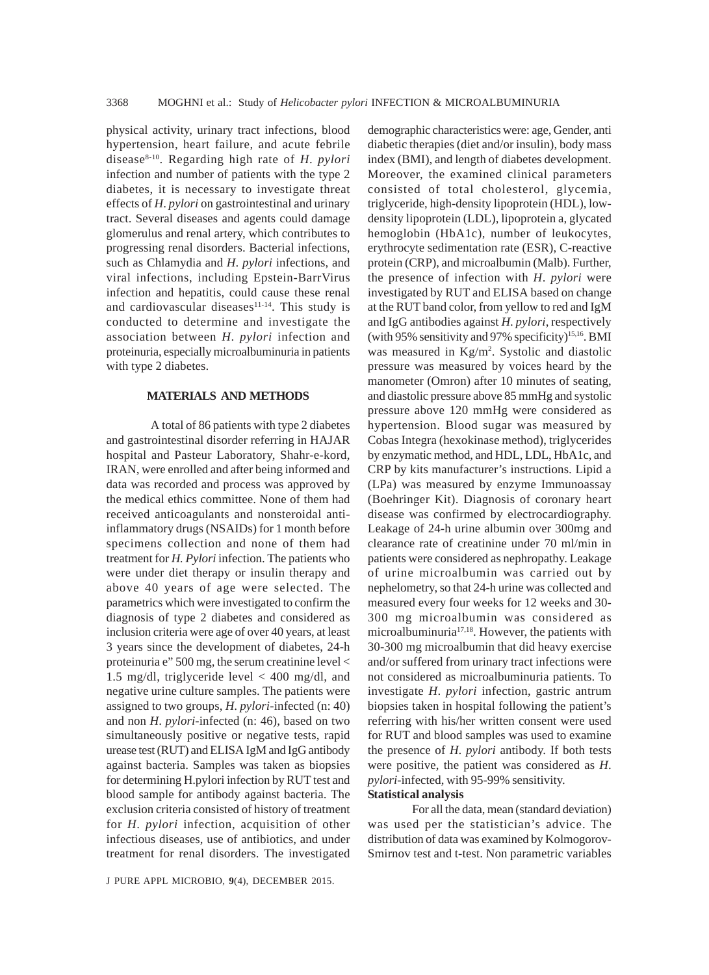physical activity, urinary tract infections, blood hypertension, heart failure, and acute febrile disease8-10. Regarding high rate of *H*. *pylori* infection and number of patients with the type 2 diabetes, it is necessary to investigate threat effects of *H*. *pylori* on gastrointestinal and urinary tract. Several diseases and agents could damage glomerulus and renal artery, which contributes to progressing renal disorders. Bacterial infections, such as Chlamydia and *H*. *pylori* infections, and viral infections, including Epstein-BarrVirus infection and hepatitis, could cause these renal and cardiovascular diseases<sup>11-14</sup>. This study is conducted to determine and investigate the association between *H*. *pylori* infection and proteinuria, especially microalbuminuria in patients with type 2 diabetes.

#### **MATERIALS AND METHODS**

A total of 86 patients with type 2 diabetes and gastrointestinal disorder referring in HAJAR hospital and Pasteur Laboratory, Shahr-e-kord, IRAN, were enrolled and after being informed and data was recorded and process was approved by the medical ethics committee. None of them had received anticoagulants and nonsteroidal antiinflammatory drugs (NSAIDs) for 1 month before specimens collection and none of them had treatment for *H. Pylori* infection. The patients who were under diet therapy or insulin therapy and above 40 years of age were selected. The parametrics which were investigated to confirm the diagnosis of type 2 diabetes and considered as inclusion criteria were age of over 40 years, at least 3 years since the development of diabetes, 24-h proteinuria e" 500 mg, the serum creatinine level < 1.5 mg/dl, triglyceride level < 400 mg/dl, and negative urine culture samples. The patients were assigned to two groups, *H*. *pylori*-infected (n: 40) and non *H*. *pylori*-infected (n: 46), based on two simultaneously positive or negative tests, rapid urease test (RUT) and ELISA IgM and IgG antibody against bacteria. Samples was taken as biopsies for determining H.pylori infection by RUT test and blood sample for antibody against bacteria. The exclusion criteria consisted of history of treatment for *H*. *pylori* infection, acquisition of other infectious diseases, use of antibiotics, and under treatment for renal disorders. The investigated demographic characteristics were: age, Gender, anti diabetic therapies (diet and/or insulin), body mass index (BMI), and length of diabetes development. Moreover, the examined clinical parameters consisted of total cholesterol, glycemia, triglyceride, high-density lipoprotein (HDL), lowdensity lipoprotein (LDL), lipoprotein a, glycated hemoglobin (HbA1c), number of leukocytes, erythrocyte sedimentation rate (ESR), C-reactive protein (CRP), and microalbumin (Malb). Further, the presence of infection with *H*. *pylori* were investigated by RUT and ELISA based on change at the RUT band color, from yellow to red and IgM and IgG antibodies against *H*. *pylori*, respectively (with 95% sensitivity and 97% specificity)<sup>15,16</sup>. BMI was measured in Kg/m<sup>2</sup>. Systolic and diastolic pressure was measured by voices heard by the manometer (Omron) after 10 minutes of seating, and diastolic pressure above 85 mmHg and systolic pressure above 120 mmHg were considered as hypertension. Blood sugar was measured by Cobas Integra (hexokinase method), triglycerides by enzymatic method, and HDL, LDL, HbA1c, and CRP by kits manufacturer's instructions. Lipid a (LPa) was measured by enzyme Immunoassay (Boehringer Kit). Diagnosis of coronary heart disease was confirmed by electrocardiography. Leakage of 24-h urine albumin over 300mg and clearance rate of creatinine under 70 ml/min in patients were considered as nephropathy. Leakage of urine microalbumin was carried out by nephelometry, so that 24-h urine was collected and measured every four weeks for 12 weeks and 30- 300 mg microalbumin was considered as microalbuminuria<sup>17,18</sup>. However, the patients with 30-300 mg microalbumin that did heavy exercise and/or suffered from urinary tract infections were not considered as microalbuminuria patients. To investigate *H*. *pylori* infection, gastric antrum biopsies taken in hospital following the patient's referring with his/her written consent were used for RUT and blood samples was used to examine the presence of *H*. *pylori* antibody. If both tests were positive, the patient was considered as *H*. *pylori*-infected, with 95-99% sensitivity.

### **Statistical analysis**

For all the data, mean (standard deviation) was used per the statistician's advice. The distribution of data was examined by Kolmogorov-Smirnov test and t-test. Non parametric variables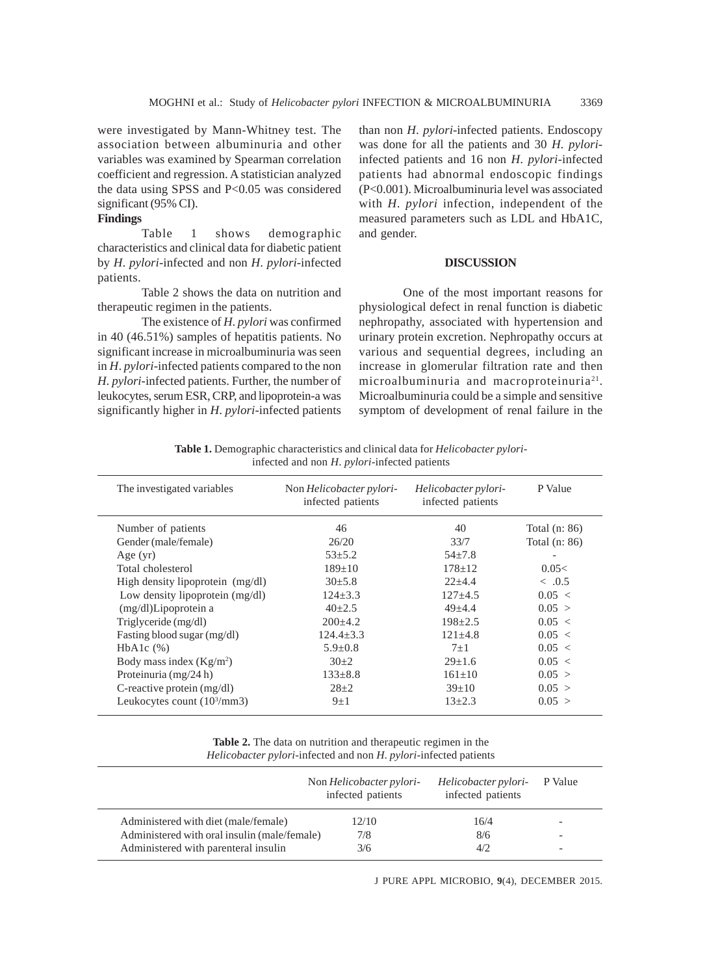were investigated by Mann-Whitney test. The association between albuminuria and other variables was examined by Spearman correlation coefficient and regression. A statistician analyzed the data using SPSS and P<0.05 was considered significant (95% CI).

# **Findings**

Table 1 shows demographic characteristics and clinical data for diabetic patient by *H*. *pylori*-infected and non *H*. *pylori*-infected patients.

Table 2 shows the data on nutrition and therapeutic regimen in the patients.

The existence of *H*. *pylori* was confirmed in 40 (46.51%) samples of hepatitis patients. No significant increase in microalbuminuria was seen in *H*. *pylori*-infected patients compared to the non *H*. *pylori*-infected patients. Further, the number of leukocytes, serum ESR, CRP, and lipoprotein-a was significantly higher in *H*. *pylori*-infected patients than non *H*. *pylori*-infected patients. Endoscopy was done for all the patients and 30 *H*. *pylori*infected patients and 16 non *H*. *pylori*-infected patients had abnormal endoscopic findings (P<0.001). Microalbuminuria level was associated with *H*. *pylori* infection, independent of the measured parameters such as LDL and HbA1C, and gender.

## **DISCUSSION**

One of the most important reasons for physiological defect in renal function is diabetic nephropathy, associated with hypertension and urinary protein excretion. Nephropathy occurs at various and sequential degrees, including an increase in glomerular filtration rate and then microalbuminuria and macroproteinuria<sup>21</sup>. Microalbuminuria could be a simple and sensitive symptom of development of renal failure in the

**Table 1.** Demographic characteristics and clinical data for *Helicobacter pylori*infected and non *H*. *pylori*-infected patients

| The investigated variables            | Non <i>Helicobacter pylori-</i><br>infected patients | Helicobacter pylori-<br>infected patients | P Value         |
|---------------------------------------|------------------------------------------------------|-------------------------------------------|-----------------|
| Number of patients                    | 46                                                   | 40                                        | Total $(n: 86)$ |
| Gender (male/female)                  | 26/20                                                | 33/7                                      | Total $(n: 86)$ |
| Age $(yr)$                            | $53 + 5.2$                                           | $54 \pm 7.8$                              |                 |
| Total cholesterol                     | $189 \pm 10$                                         | $178 + 12$                                | 0.05<           |
| High density lipoprotein $(mg/dl)$    | $30\pm5.8$                                           | $22 + 4.4$                                | $\leq 0.5$      |
| Low density lipoprotein (mg/dl)       | $124 + 3.3$                                          | $127 + 4.5$                               | 0.05 <          |
| (mg/dl)Lipoprotein a                  | $40+2.5$                                             | $49 + 4.4$                                | 0.05 >          |
| Triglyceride (mg/dl)                  | $200+4.2$                                            | $198 + 2.5$                               | 0.05 <          |
| Fasting blood sugar (mg/dl)           | $124.4 + 3.3$                                        | $121 + 4.8$                               | 0.05 <          |
| $HbA1c$ $(\%)$                        | $5.9 \pm 0.8$                                        | $7 + 1$                                   | 0.05 <          |
| Body mass index $(Kg/m2)$             | $30+2$                                               | $29 \pm 1.6$                              | 0.05 <          |
| Proteinuria $(mg/24 h)$               | $133 \pm 8.8$                                        | $161 + 10$                                | 0.05 >          |
| C-reactive protein $(mg/dl)$          | $28+2$                                               | $39+10$                                   | 0.05 >          |
| Leukocytes count $(10^3/\text{mm}^3)$ | $9+1$                                                | $13 + 2.3$                                | 0.05 >          |

**Table 2.** The data on nutrition and therapeutic regimen in the *Helicobacter pylori*-infected and non *H*. *pylori*-infected patients

|                                              | Non Helicobacter pylori-<br>infected patients | Helicobacter pylori-<br>infected patients | P Value |
|----------------------------------------------|-----------------------------------------------|-------------------------------------------|---------|
| Administered with diet (male/female)         | 12/10                                         | 16/4                                      |         |
| Administered with oral insulin (male/female) | 7/8                                           | 8/6                                       |         |
| Administered with parenteral insulin         | 3/6                                           | 4/2.                                      |         |

J PURE APPL MICROBIO*,* **9**(4), DECEMBER 2015.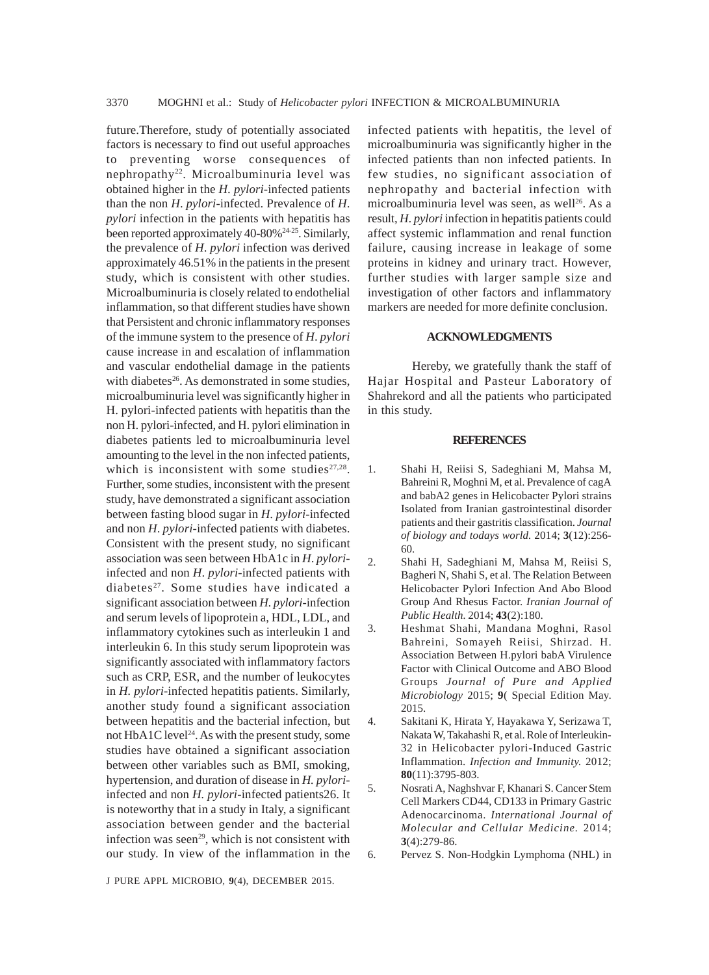future.Therefore, study of potentially associated factors is necessary to find out useful approaches to preventing worse consequences of nephropathy<sup>22</sup>. Microalbuminuria level was obtained higher in the *H*. *pylori*-infected patients than the non *H*. *pylori*-infected. Prevalence of *H*. *pylori* infection in the patients with hepatitis has been reported approximately  $40-80\%$ <sup>24-25</sup>. Similarly, the prevalence of *H*. *pylori* infection was derived approximately 46.51% in the patients in the present study, which is consistent with other studies. Microalbuminuria is closely related to endothelial inflammation, so that different studies have shown that Persistent and chronic inflammatory responses of the immune system to the presence of *H*. *pylori* cause increase in and escalation of inflammation and vascular endothelial damage in the patients with diabetes<sup>26</sup>. As demonstrated in some studies, microalbuminuria level was significantly higher in H. pylori-infected patients with hepatitis than the non H. pylori-infected, and H. pylori elimination in diabetes patients led to microalbuminuria level amounting to the level in the non infected patients, which is inconsistent with some studies $27.28$ . Further, some studies, inconsistent with the present study, have demonstrated a significant association between fasting blood sugar in *H*. *pylori*-infected and non *H*. *pylori*-infected patients with diabetes. Consistent with the present study, no significant association was seen between HbA1c in *H*. *pylori*infected and non *H*. *pylori*-infected patients with diabetes<sup>27</sup>. Some studies have indicated a significant association between *H*. *pylori*-infection and serum levels of lipoprotein a, HDL, LDL, and inflammatory cytokines such as interleukin 1 and interleukin 6. In this study serum lipoprotein was significantly associated with inflammatory factors such as CRP, ESR, and the number of leukocytes in *H. pylori*-infected hepatitis patients. Similarly, another study found a significant association between hepatitis and the bacterial infection, but not  $HbA1C$  level<sup>24</sup>. As with the present study, some studies have obtained a significant association between other variables such as BMI, smoking, hypertension, and duration of disease in *H. pylori*infected and non *H. pylori*-infected patients26. It is noteworthy that in a study in Italy, a significant association between gender and the bacterial infection was seen<sup>29</sup>, which is not consistent with our study. In view of the inflammation in the

infected patients with hepatitis, the level of microalbuminuria was significantly higher in the infected patients than non infected patients. In few studies, no significant association of nephropathy and bacterial infection with microalbuminuria level was seen, as well<sup>26</sup>. As a result, *H*. *pylori* infection in hepatitis patients could affect systemic inflammation and renal function failure, causing increase in leakage of some proteins in kidney and urinary tract. However, further studies with larger sample size and investigation of other factors and inflammatory markers are needed for more definite conclusion.

## **ACKNOWLEDGMENTS**

Hereby, we gratefully thank the staff of Hajar Hospital and Pasteur Laboratory of Shahrekord and all the patients who participated in this study.

#### **REFERENCES**

- 1. Shahi H, Reiisi S, Sadeghiani M, Mahsa M, Bahreini R, Moghni M, et al. Prevalence of cagA and babA2 genes in Helicobacter Pylori strains Isolated from Iranian gastrointestinal disorder patients and their gastritis classification. *Journal of biology and todays world.* 2014; **3**(12):256- 60.
- 2. Shahi H, Sadeghiani M, Mahsa M, Reiisi S, Bagheri N, Shahi S, et al. The Relation Between Helicobacter Pylori Infection And Abo Blood Group And Rhesus Factor. *Iranian Journal of Public Health.* 2014; **43**(2):180.
- 3. Heshmat Shahi, Mandana Moghni, Rasol Bahreini, Somayeh Reiisi, Shirzad. H. Association Between H.pylori babA Virulence Factor with Clinical Outcome and ABO Blood Groups *Journal of Pure and Applied Microbiology* 2015; **9**( Special Edition May. 2015.
- 4. Sakitani K, Hirata Y, Hayakawa Y, Serizawa T, Nakata W, Takahashi R, et al. Role of Interleukin-32 in Helicobacter pylori-Induced Gastric Inflammation. *Infection and Immunity.* 2012; **80**(11):3795-803.
- 5. Nosrati A, Naghshvar F, Khanari S. Cancer Stem Cell Markers CD44, CD133 in Primary Gastric Adenocarcinoma. *International Journal of Molecular and Cellular Medicine.* 2014; **3**(4):279-86.
- 

6. Pervez S. Non-Hodgkin Lymphoma (NHL) in

J PURE APPL MICROBIO*,* **9**(4), DECEMBER 2015.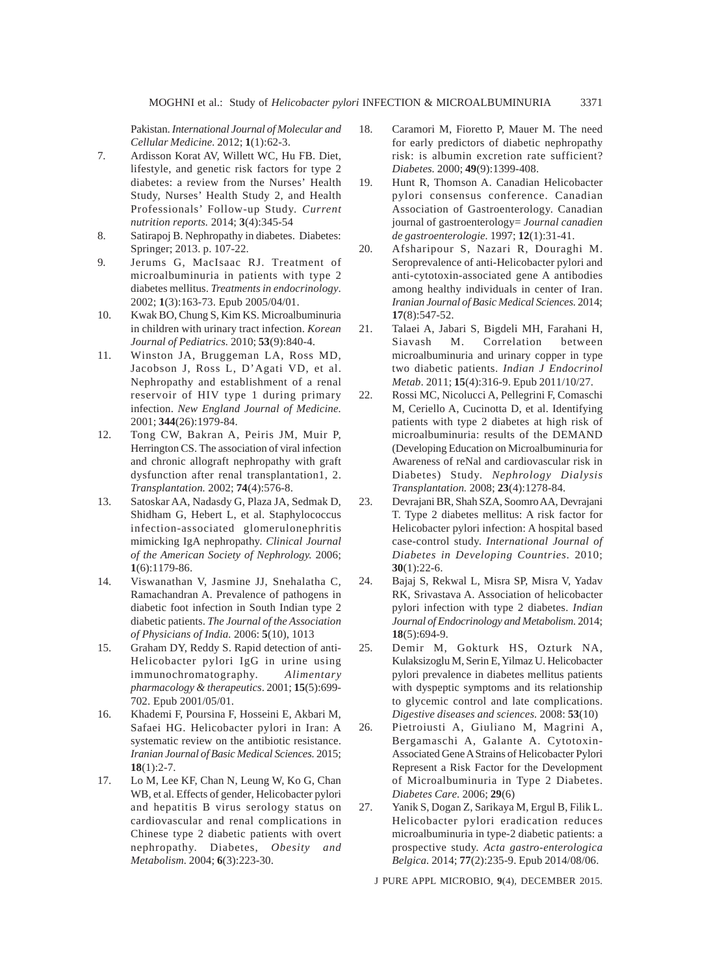Pakistan. *International Journal of Molecular and Cellular Medicine.* 2012; **1**(1):62-3.

- 7. Ardisson Korat AV, Willett WC, Hu FB. Diet, lifestyle, and genetic risk factors for type 2 diabetes: a review from the Nurses' Health Study, Nurses' Health Study 2, and Health Professionals' Follow-up Study. *Current nutrition reports.* 2014; **3**(4):345-54
- 8. Satirapoj B. Nephropathy in diabetes. Diabetes: Springer; 2013. p. 107-22.
- 9. Jerums G, MacIsaac RJ. Treatment of microalbuminuria in patients with type 2 diabetes mellitus. *Treatments in endocrinology*. 2002; **1**(3):163-73. Epub 2005/04/01.
- 10. Kwak BO, Chung S, Kim KS. Microalbuminuria in children with urinary tract infection. *Korean Journal of Pediatrics.* 2010; **53**(9):840-4.
- 11. Winston JA, Bruggeman LA, Ross MD, Jacobson J, Ross L, D'Agati VD, et al. Nephropathy and establishment of a renal reservoir of HIV type 1 during primary infection. *New England Journal of Medicine.* 2001; **344**(26):1979-84.
- 12. Tong CW, Bakran A, Peiris JM, Muir P, Herrington CS. The association of viral infection and chronic allograft nephropathy with graft dysfunction after renal transplantation1, 2. *Transplantation.* 2002; **74**(4):576-8.
- 13. Satoskar AA, Nadasdy G, Plaza JA, Sedmak D, Shidham G, Hebert L, et al. Staphylococcus infection-associated glomerulonephritis mimicking IgA nephropathy. *Clinical Journal of the American Society of Nephrology.* 2006; **1**(6):1179-86.
- 14. Viswanathan V, Jasmine JJ, Snehalatha C, Ramachandran A. Prevalence of pathogens in diabetic foot infection in South Indian type 2 diabetic patients. *The Journal of the Association of Physicians of India.* 2006: **5**(10), 1013
- 15. Graham DY, Reddy S. Rapid detection of anti-Helicobacter pylori IgG in urine using immunochromatography. *Alimentary pharmacology & therapeutics*. 2001; **15**(5):699- 702. Epub 2001/05/01.
- 16. Khademi F, Poursina F, Hosseini E, Akbari M, Safaei HG. Helicobacter pylori in Iran: A systematic review on the antibiotic resistance. *Iranian Journal of Basic Medical Sciences.* 2015; **18**(1):2-7.
- 17. Lo M, Lee KF, Chan N, Leung W, Ko G, Chan WB, et al. Effects of gender, Helicobacter pylori and hepatitis B virus serology status on cardiovascular and renal complications in Chinese type 2 diabetic patients with overt nephropathy. Diabetes, *Obesity and Metabolism.* 2004; **6**(3):223-30.
- 18. Caramori M, Fioretto P, Mauer M. The need for early predictors of diabetic nephropathy risk: is albumin excretion rate sufficient? *Diabetes.* 2000; **49**(9):1399-408.
- 19. Hunt R, Thomson A. Canadian Helicobacter pylori consensus conference. Canadian Association of Gastroenterology. Canadian journal of gastroenterology= *Journal canadien de gastroenterologie.* 1997; **12**(1):31-41.
- 20. Afsharipour S, Nazari R, Douraghi M. Seroprevalence of anti-Helicobacter pylori and anti-cytotoxin-associated gene A antibodies among healthy individuals in center of Iran. *Iranian Journal of Basic Medical Sciences.* 2014; **17**(8):547-52.
- 21. Talaei A, Jabari S, Bigdeli MH, Farahani H, Siavash M. Correlation between microalbuminuria and urinary copper in type two diabetic patients. *Indian J Endocrinol Metab*. 2011; **15**(4):316-9. Epub 2011/10/27.
- 22. Rossi MC, Nicolucci A, Pellegrini F, Comaschi M, Ceriello A, Cucinotta D, et al. Identifying patients with type 2 diabetes at high risk of microalbuminuria: results of the DEMAND (Developing Education on Microalbuminuria for Awareness of reNal and cardiovascular risk in Diabetes) Study. *Nephrology Dialysis Transplantation.* 2008; **23**(4):1278-84.
- 23. Devrajani BR, Shah SZA, Soomro AA, Devrajani T. Type 2 diabetes mellitus: A risk factor for Helicobacter pylori infection: A hospital based case-control study. *International Journal of Diabetes in Developing Countries.* 2010; **30**(1):22-6.
- 24. Bajaj S, Rekwal L, Misra SP, Misra V, Yadav RK, Srivastava A. Association of helicobacter pylori infection with type 2 diabetes. *Indian Journal of Endocrinology and Metabolism.* 2014; **18**(5):694-9.
- 25. Demir M, Gokturk HS, Ozturk NA, Kulaksizoglu M, Serin E, Yilmaz U. Helicobacter pylori prevalence in diabetes mellitus patients with dyspeptic symptoms and its relationship to glycemic control and late complications. *Digestive diseases and sciences.* 2008: **53**(10)
- 26. Pietroiusti A, Giuliano M, Magrini A, Bergamaschi A, Galante A. Cytotoxin-Associated Gene A Strains of Helicobacter Pylori Represent a Risk Factor for the Development of Microalbuminuria in Type 2 Diabetes. *Diabetes Care.* 2006; **29**(6)
- 27. Yanik S, Dogan Z, Sarikaya M, Ergul B, Filik L. Helicobacter pylori eradication reduces microalbuminuria in type-2 diabetic patients: a prospective study. *Acta gastro-enterologica Belgica.* 2014; **77**(2):235-9. Epub 2014/08/06.

J PURE APPL MICROBIO*,* **9**(4), DECEMBER 2015.